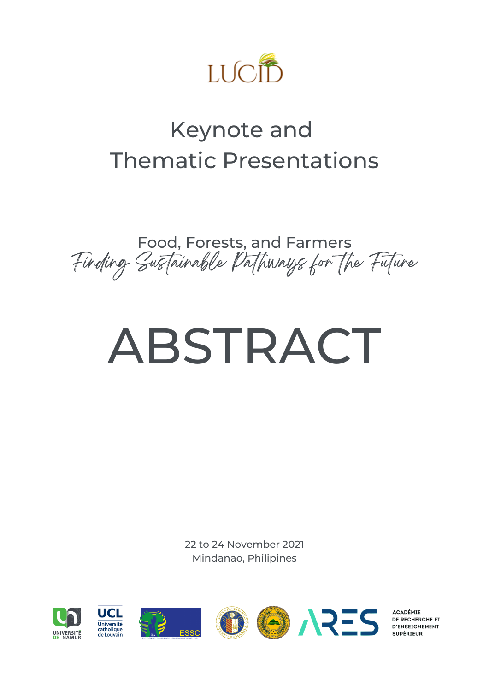

# Keynote and Thematic Presentations

Food, Forests, and Farmers Finding Sustainable Pathways for the Future

# ABSTRACT

22 to 24 November 2021 Mindanao, Philipines



**ACADÉMIE DE RECHERCHE ET D'ENSEIGNEMENT**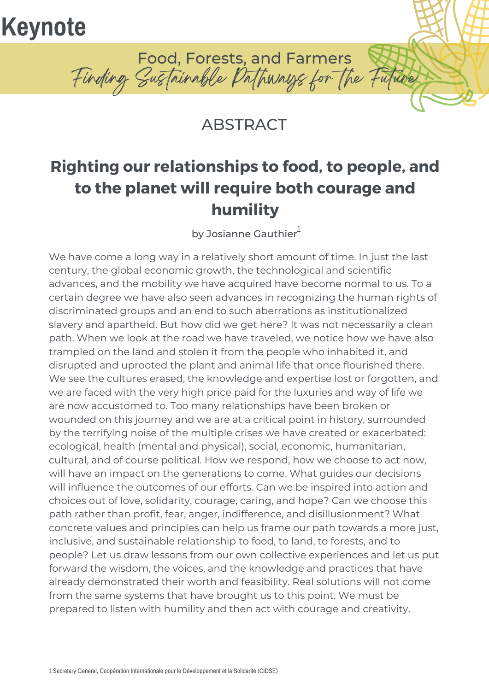# **Keynote**

Food, Forests, and Farmers Finding Sustainable Pathways for the Future

#### **ABSTRACT**

## **Righting our relationships to food, to people, and to the planet will require both courage and humility**

by Josianne Gauthier $^{\text{\rm !}}$ 

We have come a long way in a relatively short amount of time. In just the last century, the global economic growth, the technological and scientific advances, and the mobility we have acquired have become normal to us. To a certain degree we have also seen advances in recognizing the human rights of discriminated groups and an end to such aberrations as institutionalized slavery and apartheid. But how did we get here? It was not necessarily a clean path. When we look at the road we have traveled, we notice how we have also trampled on the land and stolen it from the people who inhabited it, and disrupted and uprooted the plant and animal life that once flourished there. We see the cultures erased, the knowledge and expertise lost or forgotten, and we are faced with the very high price paid for the luxuries and way of life we are now accustomed to. Too many relationships have been broken or wounded on this journey and we are at a critical point in history, surrounded by the terrifying noise of the multiple crises we have created or exacerbated: ecological, health (mental and physical), social, economic, humanitarian, cultural, and of course political. How we respond, how we choose to act now, will have an impact on the generations to come. What guides our decisions will influence the outcomes of our efforts. Can we be inspired into action and choices out of love, solidarity, courage, caring, and hope? Can we choose this path rather than profit, fear, anger, indifference, and disillusionment? What concrete values and principles can help us frame our path towards a more just, inclusive, and sustainable relationship to food, to land, to forests, and to people? Let us draw lessons from our own collective experiences and let us put forward the wisdom, the voices, and the knowledge and practices that have already demonstrated their worth and feasibility. Real solutions will not come from the same systems that have brought us to this point. We must be prepared to listen with humility and then act with courage and creativity.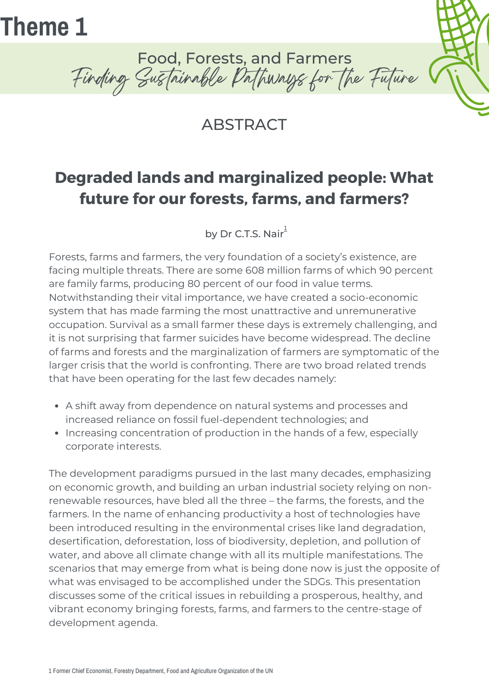

Food, Forests, and Farmers Finding Sustainable Pathways for the Future

#### **ABSTRACT**

### **Degraded lands and marginalized people: What future for our forests, farms, and farmers?**

by Dr C.T.S. Nair $^1$ 

Forests, farms and farmers, the very foundation of a society's existence, are facing multiple threats. There are some 608 million farms of which 90 percent are family farms, producing 80 percent of our food in value terms. Notwithstanding their vital importance, we have created a socio-economic system that has made farming the most unattractive and unremunerative occupation. Survival as a small farmer these days is extremely challenging, and it is not surprising that farmer suicides have become widespread. The decline of farms and forests and the marginalization of farmers are symptomatic of the larger crisis that the world is confronting. There are two broad related trends that have been operating for the last few decades namely:

- A shift away from dependence on natural systems and processes and increased reliance on fossil fuel-dependent technologies; and
- Increasing concentration of production in the hands of a few, especially corporate interests.

The development paradigms pursued in the last many decades, emphasizing on economic growth, and building an urban industrial society relying on nonrenewable resources, have bled all the three – the farms, the forests, and the farmers. In the name of enhancing productivity a host of technologies have been introduced resulting in the environmental crises like land degradation, desertification, deforestation, loss of biodiversity, depletion, and pollution of water, and above all climate change with all its multiple manifestations. The scenarios that may emerge from what is being done now is just the opposite of what was envisaged to be accomplished under the SDGs. This presentation discusses some of the critical issues in rebuilding a prosperous, healthy, and vibrant economy bringing forests, farms, and farmers to the centre-stage of development agenda.